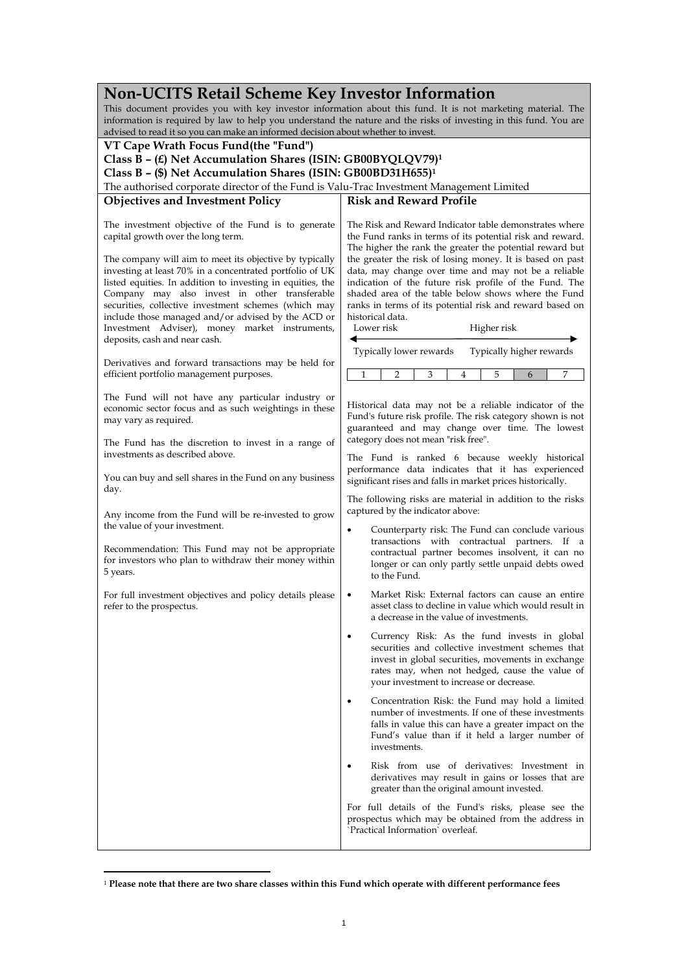| <b>Non-UCITS Retail Scheme Key Investor Information</b>                                                                                                                                                                   |                                                                                                                                                                                                                                                                                                      |  |  |
|---------------------------------------------------------------------------------------------------------------------------------------------------------------------------------------------------------------------------|------------------------------------------------------------------------------------------------------------------------------------------------------------------------------------------------------------------------------------------------------------------------------------------------------|--|--|
| This document provides you with key investor information about this fund. It is not marketing material. The                                                                                                               |                                                                                                                                                                                                                                                                                                      |  |  |
| information is required by law to help you understand the nature and the risks of investing in this fund. You are                                                                                                         |                                                                                                                                                                                                                                                                                                      |  |  |
| advised to read it so you can make an informed decision about whether to invest.                                                                                                                                          |                                                                                                                                                                                                                                                                                                      |  |  |
| VT Cape Wrath Focus Fund(the "Fund")                                                                                                                                                                                      |                                                                                                                                                                                                                                                                                                      |  |  |
| Class B - (£) Net Accumulation Shares (ISIN: GB00BYQLQV79) <sup>1</sup>                                                                                                                                                   |                                                                                                                                                                                                                                                                                                      |  |  |
| Class B - (\$) Net Accumulation Shares (ISIN: GB00BD31H655) <sup>1</sup>                                                                                                                                                  |                                                                                                                                                                                                                                                                                                      |  |  |
| The authorised corporate director of the Fund is Valu-Trac Investment Management Limited                                                                                                                                  |                                                                                                                                                                                                                                                                                                      |  |  |
|                                                                                                                                                                                                                           | <b>Risk and Reward Profile</b>                                                                                                                                                                                                                                                                       |  |  |
| <b>Objectives and Investment Policy</b>                                                                                                                                                                                   |                                                                                                                                                                                                                                                                                                      |  |  |
| The investment objective of the Fund is to generate<br>capital growth over the long term.<br>The company will aim to meet its objective by typically<br>investing at least 70% in a concentrated portfolio of UK          | The Risk and Reward Indicator table demonstrates where<br>the Fund ranks in terms of its potential risk and reward.<br>The higher the rank the greater the potential reward but<br>the greater the risk of losing money. It is based on past<br>data, may change over time and may not be a reliable |  |  |
| listed equities. In addition to investing in equities, the<br>Company may also invest in other transferable<br>securities, collective investment schemes (which may<br>include those managed and/or advised by the ACD or | indication of the future risk profile of the Fund. The<br>shaded area of the table below shows where the Fund<br>ranks in terms of its potential risk and reward based on<br>historical data.<br>Lower risk                                                                                          |  |  |
| Investment Adviser), money market instruments,<br>deposits, cash and near cash.                                                                                                                                           | Higher risk                                                                                                                                                                                                                                                                                          |  |  |
|                                                                                                                                                                                                                           | Typically lower rewards<br>Typically higher rewards                                                                                                                                                                                                                                                  |  |  |
| Derivatives and forward transactions may be held for<br>efficient portfolio management purposes.                                                                                                                          | 7<br>1<br>2<br>3<br>4<br>5<br>6                                                                                                                                                                                                                                                                      |  |  |
| The Fund will not have any particular industry or<br>economic sector focus and as such weightings in these<br>may vary as required.                                                                                       | Historical data may not be a reliable indicator of the<br>Fund's future risk profile. The risk category shown is not<br>guaranteed and may change over time. The lowest                                                                                                                              |  |  |
| The Fund has the discretion to invest in a range of<br>investments as described above.                                                                                                                                    | category does not mean "risk free".<br>The Fund is ranked 6 because weekly historical                                                                                                                                                                                                                |  |  |
| You can buy and sell shares in the Fund on any business<br>day.                                                                                                                                                           | performance data indicates that it has experienced<br>significant rises and falls in market prices historically.                                                                                                                                                                                     |  |  |
| Any income from the Fund will be re-invested to grow                                                                                                                                                                      | The following risks are material in addition to the risks<br>captured by the indicator above:                                                                                                                                                                                                        |  |  |
| the value of your investment.<br>Recommendation: This Fund may not be appropriate<br>for investors who plan to withdraw their money within<br>5 years.                                                                    | Counterparty risk: The Fund can conclude various<br>٠<br>transactions with contractual partners. If a<br>contractual partner becomes insolvent, it can no<br>longer or can only partly settle unpaid debts owed<br>to the Fund.                                                                      |  |  |
| For full investment objectives and policy details please<br>refer to the prospectus.                                                                                                                                      | Market Risk: External factors can cause an entire<br>asset class to decline in value which would result in<br>a decrease in the value of investments.                                                                                                                                                |  |  |
|                                                                                                                                                                                                                           | Currency Risk: As the fund invests in global<br>$\bullet$<br>securities and collective investment schemes that<br>invest in global securities, movements in exchange<br>rates may, when not hedged, cause the value of<br>your investment to increase or decrease.                                   |  |  |
|                                                                                                                                                                                                                           | Concentration Risk: the Fund may hold a limited<br>number of investments. If one of these investments<br>falls in value this can have a greater impact on the<br>Fund's value than if it held a larger number of<br>investments.                                                                     |  |  |
|                                                                                                                                                                                                                           | Risk from use of derivatives: Investment in<br>$\bullet$<br>derivatives may result in gains or losses that are<br>greater than the original amount invested.                                                                                                                                         |  |  |
|                                                                                                                                                                                                                           | For full details of the Fund's risks, please see the<br>prospectus which may be obtained from the address in<br>'Practical Information' overleaf.                                                                                                                                                    |  |  |

<sup>1</sup> **Please note that there are two share classes within this Fund which operate with different performance fees**